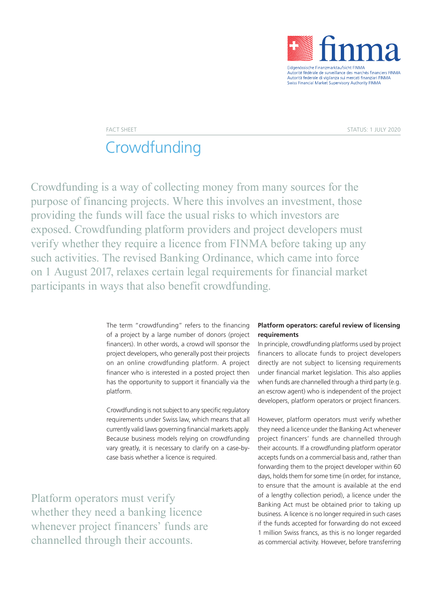

# **Crowdfunding**

Crowdfunding is a way of collecting money from many sources for the purpose of financing projects. Where this involves an investment, those providing the funds will face the usual risks to which investors are exposed. Crowdfunding platform providers and project developers must verify whether they require a licence from FINMA before taking up any such activities. The revised Banking Ordinance, which came into force on 1 August 2017, relaxes certain legal requirements for financial market participants in ways that also benefit crowdfunding.

> The term "crowdfunding" refers to the financing of a project by a large number of donors (project financers). In other words, a crowd will sponsor the project developers, who generally post their projects on an online crowdfunding platform. A project financer who is interested in a posted project then has the opportunity to support it financially via the platform.

> Crowdfunding is not subject to any specific regulatory requirements under Swiss law, which means that all currently valid laws governing financial markets apply. Because business models relying on crowdfunding vary greatly, it is necessary to clarify on a case-bycase basis whether a licence is required.

Platform operators must verify whether they need a banking licence whenever project financers' funds are channelled through their accounts.

#### **Platform operators: careful review of licensing requirements**

In principle, crowdfunding platforms used by project financers to allocate funds to project developers directly are not subject to licensing requirements under financial market legislation. This also applies when funds are channelled through a third party (e.g. an escrow agent) who is independent of the project developers, platform operators or project financers.

However, platform operators must verify whether they need a licence under the Banking Act whenever project financers' funds are channelled through their accounts. If a crowdfunding platform operator accepts funds on a commercial basis and, rather than forwarding them to the project developer within 60 days, holds them for some time (in order, for instance, to ensure that the amount is available at the end of a lengthy collection period), a licence under the Banking Act must be obtained prior to taking up business. A licence is no longer required in such cases if the funds accepted for forwarding do not exceed 1 million Swiss francs, as this is no longer regarded as commercial activity. However, before transferring

FACT SHEET STATUS: 1 JULY 2020